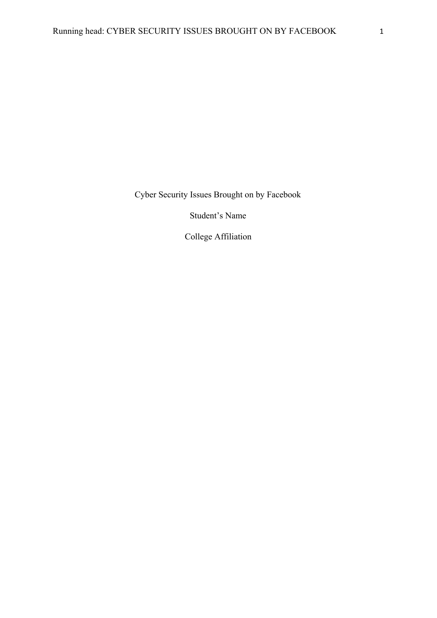Cyber Security Issues Brought on by Facebook

Student's Name

College Affiliation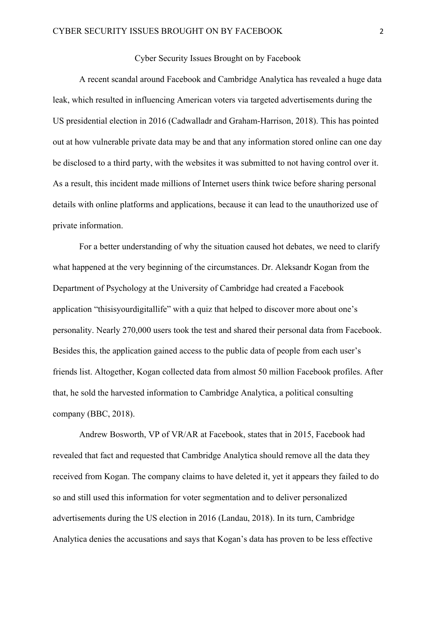## Cyber Security Issues Brought on by Facebook

A recent scandal around Facebook and Cambridge Analytica has revealed a huge data leak, which resulted in influencing American voters via targeted advertisements during the US presidential election in 2016 (Cadwalladr and Graham-Harrison, 2018). This has pointed out at how vulnerable private data may be and that any information stored online can one day be disclosed to a third party, with the websites it was submitted to not having control over it. As a result, this incident made millions of Internet users think twice before sharing personal details with online platforms and applications, because it can lead to the unauthorized use of private information.

For a better understanding of why the situation caused hot debates, we need to clarify what happened at the very beginning of the circumstances. Dr. Aleksandr Kogan from the Department of Psychology at the University of Cambridge had created a Facebook application "thisisyourdigitallife" with a quiz that helped to discover more about one's personality. Nearly 270,000 users took the test and shared their personal data from Facebook. Besides this, the application gained access to the public data of people from each user's friends list. Altogether, Kogan collected data from almost 50 million Facebook profiles. After that, he sold the harvested information to Cambridge Analytica, a political consulting company (BBC, 2018).

Andrew Bosworth, VP of VR/AR at Facebook, states that in 2015, Facebook had revealed that fact and requested that Cambridge Analytica should remove all the data they received from Kogan. The company claims to have deleted it, yet it appears they failed to do so and still used this information for voter segmentation and to deliver personalized advertisements during the US election in 2016 (Landau, 2018). In its turn, Cambridge Analytica denies the accusations and says that Kogan's data has proven to be less effective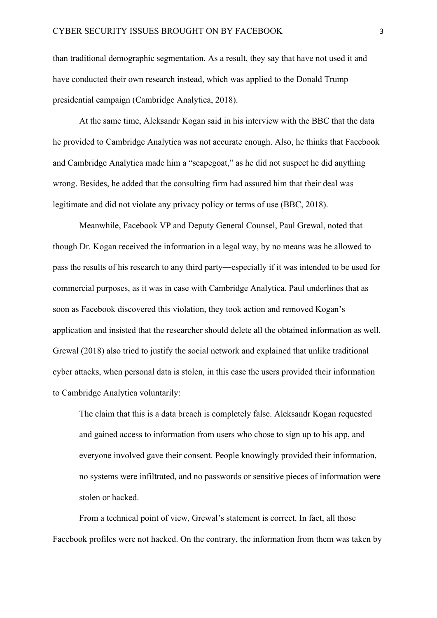than traditional demographic segmentation. As a result, they say that have not used it and have conducted their own research instead, which was applied to the Donald Trump presidential campaign (Cambridge Analytica, 2018).

At the same time, Aleksandr Kogan said in his interview with the BBC that the data he provided to Cambridge Analytica was not accurate enough. Also, he thinks that Facebook and Cambridge Analytica made him a "scapegoat," as he did not suspect he did anything wrong. Besides, he added that the consulting firm had assured him that their deal was legitimate and did not violate any privacy policy or terms of use (BBC, 2018).

Meanwhile, Facebook VP and Deputy General Counsel, Paul Grewal, noted that though Dr. Kogan received the information in a legal way, by no means was he allowed to pass the results of his research to any third party—especially if it was intended to be used for commercial purposes, as it was in case with Cambridge Analytica. Paul underlines that as soon as Facebook discovered this violation, they took action and removed Kogan's application and insisted that the researcher should delete all the obtained information as well. Grewal (2018) also tried to justify the social network and explained that unlike traditional cyber attacks, when personal data is stolen, in this case the users provided their information to Cambridge Analytica voluntarily:

The claim that this is a data breach is completely false. Aleksandr Kogan requested and gained access to information from users who chose to sign up to his app, and everyone involved gave their consent. People knowingly provided their information, no systems were infiltrated, and no passwords or sensitive pieces of information were stolen or hacked.

From a technical point of view, Grewal's statement is correct. In fact, all those Facebook profiles were not hacked. On the contrary, the information from them was taken by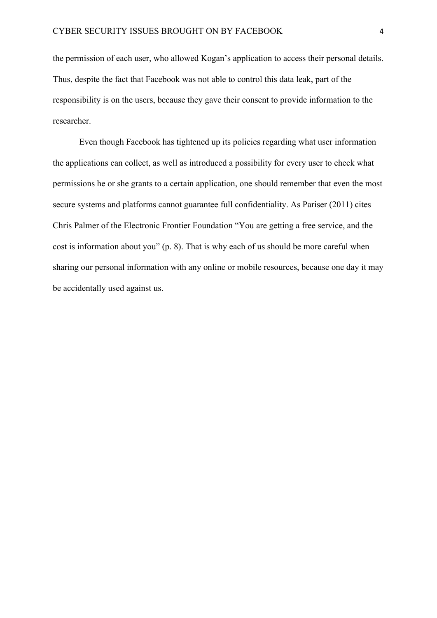the permission of each user, who allowed Kogan's application to access their personal details. Thus, despite the fact that Facebook was not able to control this data leak, part of the responsibility is on the users, because they gave their consent to provide information to the researcher.

Even though Facebook has tightened up its policies regarding what user information the applications can collect, as well as introduced a possibility for every user to check what permissions he or she grants to a certain application, one should remember that even the most secure systems and platforms cannot guarantee full confidentiality. As Pariser (2011) cites Chris Palmer of the Electronic Frontier Foundation "You are getting a free service, and the cost is information about you" (p. 8). That is why each of us should be more careful when sharing our personal information with any online or mobile resources, because one day it may be accidentally used against us.